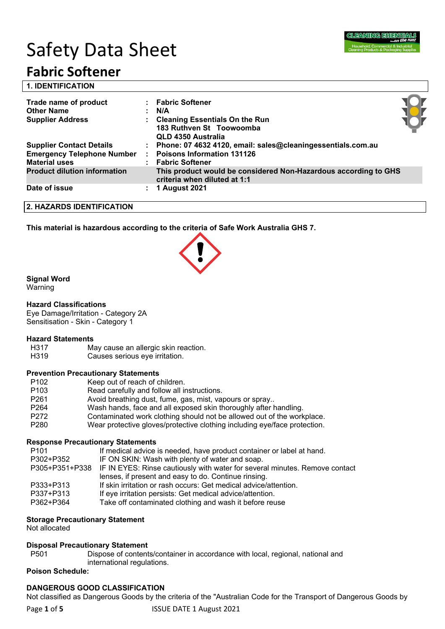

# Safety Data Sheet

## **Fabric Softener**

| <b>1. IDENTIFICATION</b>                                              |                                                                                                                 |  |
|-----------------------------------------------------------------------|-----------------------------------------------------------------------------------------------------------------|--|
| Trade name of product<br><b>Other Name</b><br><b>Supplier Address</b> | : Fabric Softener<br>N/A<br><b>Cleaning Essentials On the Run</b>                                               |  |
| <b>Supplier Contact Details</b>                                       | 183 Ruthven St Toowoomba<br>QLD 4350 Australia<br>: Phone: 07 4632 4120, email: sales@cleaningessentials.com.au |  |
| <b>Emergency Telephone Number</b><br><b>Material uses</b>             | <b>Poisons Information 131126</b><br><b>Fabric Softener</b>                                                     |  |
| <b>Product dilution information</b>                                   | This product would be considered Non-Hazardous according to GHS<br>criteria when diluted at 1:1                 |  |
| Date of issue                                                         | <b>1 August 2021</b>                                                                                            |  |

**2. HAZARDS IDENTIFICATION**

**This material is hazardous according to the criteria of Safe Work Australia GHS 7.**

#### **Signal Word**

Warning

#### **Hazard Classifications**

Eye Damage/Irritation - Category 2A Sensitisation - Skin - Category 1

- **Hazard Statements** May cause an allergic skin reaction.
- H319 Causes serious eye irritation.

#### **Prevention Precautionary Statements**

| P <sub>102</sub> | Keep out of reach of children.                                            |
|------------------|---------------------------------------------------------------------------|
| P <sub>103</sub> | Read carefully and follow all instructions.                               |
| P <sub>261</sub> | Avoid breathing dust, fume, gas, mist, vapours or spray                   |
| P <sub>264</sub> | Wash hands, face and all exposed skin thoroughly after handling.          |
| P <sub>272</sub> | Contaminated work clothing should not be allowed out of the workplace.    |
| P <sub>280</sub> | Wear protective gloves/protective clothing including eye/face protection. |

#### **Response Precautionary Statements**

| P <sub>101</sub> | If medical advice is needed, have product container or label at hand.                      |
|------------------|--------------------------------------------------------------------------------------------|
| P302+P352        | IF ON SKIN: Wash with plenty of water and soap.                                            |
|                  | P305+P351+P338 IF IN EYES: Rinse cautiously with water for several minutes. Remove contact |
|                  | lenses, if present and easy to do. Continue rinsing.                                       |
| P333+P313        | If skin irritation or rash occurs: Get medical advice/attention.                           |
| P337+P313        | If eye irritation persists: Get medical advice/attention.                                  |
| P362+P364        | Take off contaminated clothing and wash it before reuse                                    |
|                  |                                                                                            |

#### **Storage Precautionary Statement**

Not allocated

#### **Disposal Precautionary Statement**

P501 Dispose of contents/container in accordance with local, regional, national and international regulations.

#### **Poison Schedule:**

#### **DANGEROUS GOOD CLASSIFICATION**

Not classified as Dangerous Goods by the criteria of the "Australian Code for the Transport of Dangerous Goods by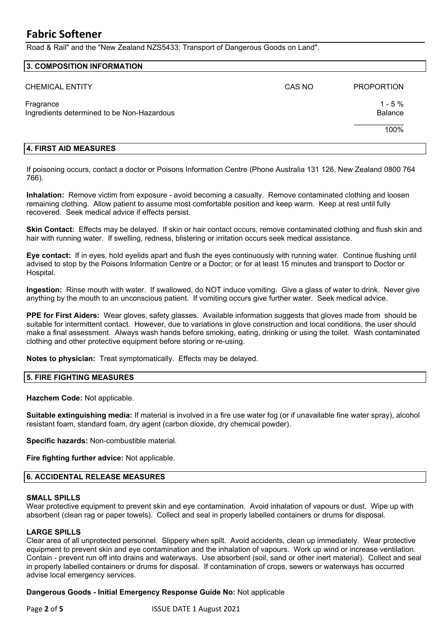## **Fabric Softener**

Road & Rail" and the "New Zealand NZS5433: Transport of Dangerous Goods on Land".

| CAS NO | <b>PROPORTION</b>          |
|--------|----------------------------|
|        | $1 - 5%$<br><b>Balance</b> |
|        | 100%                       |
|        |                            |

#### **4. FIRST AID MEASURES**

If poisoning occurs, contact a doctor or Poisons Information Centre (Phone Australia 131 126, New Zealand 0800 764 766).

**Inhalation:** Remove victim from exposure - avoid becoming a casualty. Remove contaminated clothing and loosen remaining clothing. Allow patient to assume most comfortable position and keep warm. Keep at rest until fully recovered. Seek medical advice if effects persist.

**Skin Contact:** Effects may be delayed. If skin or hair contact occurs, remove contaminated clothing and flush skin and hair with running water. If swelling, redness, blistering or irritation occurs seek medical assistance.

**Eye contact:** If in eyes, hold eyelids apart and flush the eyes continuously with running water. Continue flushing until advised to stop by the Poisons Information Centre or a Doctor; or for at least 15 minutes and transport to Doctor or Hospital.

**Ingestion:** Rinse mouth with water. If swallowed, do NOT induce vomiting. Give a glass of water to drink. Never give anything by the mouth to an unconscious patient. If vomiting occurs give further water. Seek medical advice.

**PPE for First Aiders:** Wear gloves, safety glasses. Available information suggests that gloves made from should be suitable for intermittent contact. However, due to variations in glove construction and local conditions, the user should make a final assessment. Always wash hands before smoking, eating, drinking or using the toilet. Wash contaminated clothing and other protective equipment before storing or re-using.

**Notes to physician:** Treat symptomatically. Effects may be delayed.

#### **5. FIRE FIGHTING MEASURES**

**Hazchem Code:** Not applicable.

**Suitable extinguishing media:** If material is involved in a fire use water fog (or if unavailable fine water spray), alcohol resistant foam, standard foam, dry agent (carbon dioxide, dry chemical powder).

**Specific hazards:** Non-combustible material.

**Fire fighting further advice:** Not applicable.

#### **6. ACCIDENTAL RELEASE MEASURES**

#### **SMALL SPILLS**

Wear protective equipment to prevent skin and eye contamination. Avoid inhalation of vapours or dust. Wipe up with absorbent (clean rag or paper towels). Collect and seal in properly labelled containers or drums for disposal.

#### **LARGE SPILLS**

Clear area of all unprotected personnel. Slippery when spilt. Avoid accidents, clean up immediately. Wear protective equipment to prevent skin and eye contamination and the inhalation of vapours. Work up wind or increase ventilation. Contain - prevent run off into drains and waterways. Use absorbent (soil, sand or other inert material). Collect and seal in properly labelled containers or drums for disposal. If contamination of crops, sewers or waterways has occurred advise local emergency services.

#### **Dangerous Goods - Initial Emergency Response Guide No:** Not applicable

Page 2 of 5 **ISSUE DATE 1 August 2021**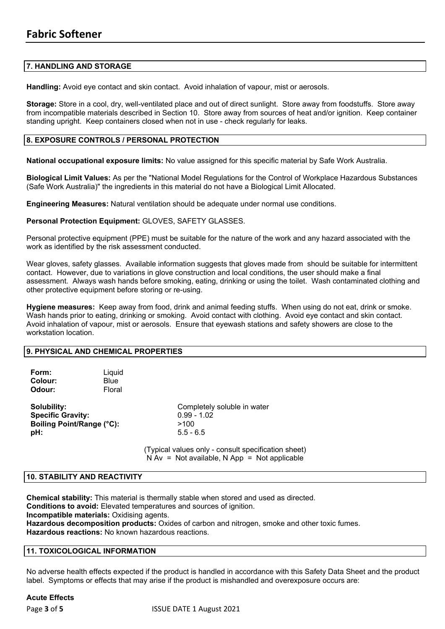#### **7. HANDLING AND STORAGE**

**Handling:** Avoid eye contact and skin contact. Avoid inhalation of vapour, mist or aerosols.

**Storage:** Store in a cool, dry, well-ventilated place and out of direct sunlight. Store away from foodstuffs. Store away from incompatible materials described in Section 10. Store away from sources of heat and/or ignition. Keep container standing upright. Keep containers closed when not in use - check regularly for leaks.

#### **8. EXPOSURE CONTROLS / PERSONAL PROTECTION**

**National occupational exposure limits:** No value assigned for this specific material by Safe Work Australia.

**Biological Limit Values:** As per the "National Model Regulations for the Control of Workplace Hazardous Substances (Safe Work Australia)" the ingredients in this material do not have a Biological Limit Allocated.

**Engineering Measures:** Natural ventilation should be adequate under normal use conditions.

#### **Personal Protection Equipment:** GLOVES, SAFETY GLASSES.

Personal protective equipment (PPE) must be suitable for the nature of the work and any hazard associated with the work as identified by the risk assessment conducted.

Wear gloves, safety glasses. Available information suggests that gloves made from should be suitable for intermittent contact. However, due to variations in glove construction and local conditions, the user should make a final assessment. Always wash hands before smoking, eating, drinking or using the toilet. Wash contaminated clothing and other protective equipment before storing or re-using.

**Hygiene measures:** Keep away from food, drink and animal feeding stuffs. When using do not eat, drink or smoke. Wash hands prior to eating, drinking or smoking. Avoid contact with clothing. Avoid eye contact and skin contact. Avoid inhalation of vapour, mist or aerosols. Ensure that eyewash stations and safety showers are close to the workstation location.

#### **9. PHYSICAL AND CHEMICAL PROPERTIES**

| Form:       | Liquid      |
|-------------|-------------|
| Colour:     | <b>Blue</b> |
| Odour:      | Floral      |
|             |             |
| Solubility: |             |

**Specific Gravity:** 0.99 - 1.02 **Boiling Point/Range (°C):** >100 **pH:** 5.5 - 6.5

**Completely soluble in water** 

(Typical values only - consult specification sheet)  $N Av = Not available, N App = Not applicable$ 

#### **10. STABILITY AND REACTIVITY**

**Chemical stability:** This material is thermally stable when stored and used as directed. **Conditions to avoid:** Elevated temperatures and sources of ignition. **Incompatible materials:** Oxidising agents. **Hazardous decomposition products:** Oxides of carbon and nitrogen, smoke and other toxic fumes. **Hazardous reactions:** No known hazardous reactions.

#### **11. TOXICOLOGICAL INFORMATION**

No adverse health effects expected if the product is handled in accordance with this Safety Data Sheet and the product label. Symptoms or effects that may arise if the product is mishandled and overexposure occurs are:

#### **Acute Effects**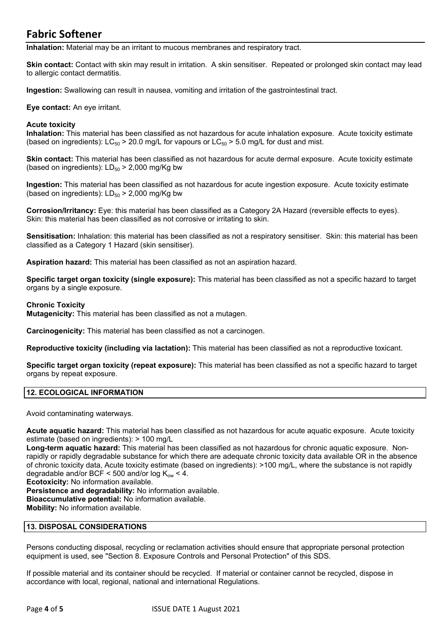## **Fabric Softener**

**Inhalation:** Material may be an irritant to mucous membranes and respiratory tract.

**Skin contact:** Contact with skin may result in irritation. A skin sensitiser. Repeated or prolonged skin contact may lead to allergic contact dermatitis.

**Ingestion:** Swallowing can result in nausea, vomiting and irritation of the gastrointestinal tract.

**Eye contact:** An eye irritant.

#### **Acute toxicity**

**Inhalation:** This material has been classified as not hazardous for acute inhalation exposure. Acute toxicity estimate (based on ingredients):  $LC_{50}$  > 20.0 mg/L for vapours or  $LC_{50}$  > 5.0 mg/L for dust and mist.

**Skin contact:** This material has been classified as not hazardous for acute dermal exposure. Acute toxicity estimate (based on ingredients):  $LD_{50}$  > 2,000 mg/Kg bw

**Ingestion:** This material has been classified as not hazardous for acute ingestion exposure. Acute toxicity estimate (based on ingredients):  $LD_{50}$  > 2,000 mg/Kg bw

**Corrosion/Irritancy:** Eye: this material has been classified as a Category 2A Hazard (reversible effects to eyes). Skin: this material has been classified as not corrosive or irritating to skin.

**Sensitisation:** Inhalation: this material has been classified as not a respiratory sensitiser. Skin: this material has been classified as a Category 1 Hazard (skin sensitiser).

**Aspiration hazard:** This material has been classified as not an aspiration hazard.

**Specific target organ toxicity (single exposure):** This material has been classified as not a specific hazard to target organs by a single exposure.

#### **Chronic Toxicity**

**Mutagenicity:** This material has been classified as not a mutagen.

**Carcinogenicity:** This material has been classified as not a carcinogen.

**Reproductive toxicity (including via lactation):** This material has been classified as not a reproductive toxicant.

**Specific target organ toxicity (repeat exposure):** This material has been classified as not a specific hazard to target organs by repeat exposure.

#### **12. ECOLOGICAL INFORMATION**

Avoid contaminating waterways.

**Acute aquatic hazard:** This material has been classified as not hazardous for acute aquatic exposure. Acute toxicity estimate (based on ingredients): > 100 mg/L

**Long-term aquatic hazard:** This material has been classified as not hazardous for chronic aquatic exposure. Nonrapidly or rapidly degradable substance for which there are adequate chronic toxicity data available OR in the absence of chronic toxicity data, Acute toxicity estimate (based on ingredients): >100 mg/L, where the substance is not rapidly degradable and/or BCF < 500 and/or log  $K_{ow}$  < 4.

**Ecotoxicity:** No information available.

**Persistence and degradability:** No information available. **Bioaccumulative potential:** No information available. **Mobility:** No information available.

#### **13. DISPOSAL CONSIDERATIONS**

Persons conducting disposal, recycling or reclamation activities should ensure that appropriate personal protection equipment is used, see "Section 8. Exposure Controls and Personal Protection" of this SDS.

If possible material and its container should be recycled. If material or container cannot be recycled, dispose in accordance with local, regional, national and international Regulations.